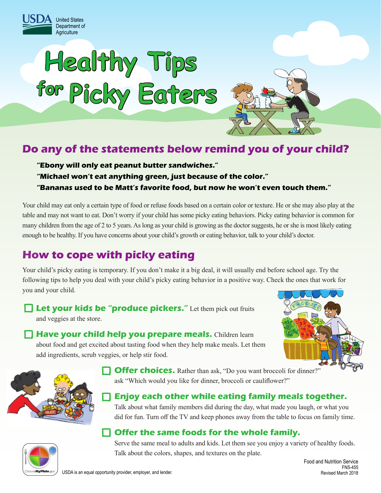



# **Do any of the statements below remind you of your child?**

**"Ebony will only eat peanut butter sandwiches." "Michael won't eat anything green, just because of the color." "Bananas used to be Matt's favorite food, but now he won't even touch them."**

Your child may eat only a certain type of food or refuse foods based on a certain color or texture. He or she may also play at the table and may not want to eat. Don't worry if your child has some picky eating behaviors. Picky eating behavior is common for many children from the age of 2 to 5 years. As long as your child is growing as the doctor suggests, he or she is most likely eating enough to be healthy. If you have concerns about your child's growth or eating behavior, talk to your child's doctor.

# **How to cope with picky eating**

Your child's picky eating is temporary. If you don't make it a big deal, it will usually end before school age. Try the following tips to help you deal with your child's picky eating behavior in a positive way. Check the ones that work for you and your child.

**Let your kids be "produce pickers."** Let them pick out fruits and veggies at the store.

**Have your child help you prepare meals.** Children learn about food and get excited about tasting food when they help make meals. Let them add ingredients, scrub veggies, or help stir food.





**Offer choices.** Rather than ask, "Do you want broccoli for dinner?" ask "Which would you like for dinner, broccoli or cauliflower?"

#### **Enjoy each other while eating family meals together.**

Talk about what family members did during the day, what made you laugh, or what you did for fun. Turn off the TV and keep phones away from the table to focus on family time.

### **Offer the same foods for the whole family.**

**MyPlate** 

Serve the same meal to adults and kids. Let them see you enjoy a variety of healthy foods. Talk about the colors, shapes, and textures on the plate.

Food and Nutrition Service FNS-455 Revised March 2018